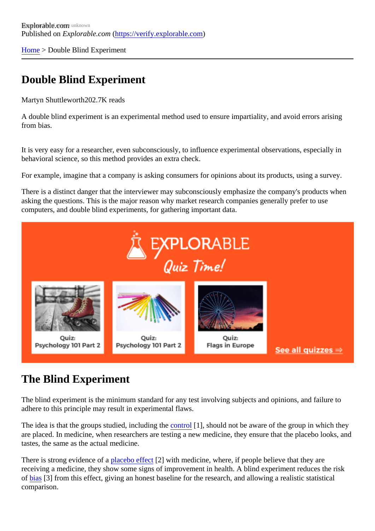[Home](https://verify.explorable.com/)> Double Blind Experiment

## Double Blind Experiment

Martyn Shuttlewort<sup>h202.7K</sup> reads

A double blind experiment is an experimental method used to ensure impartiality, and avoid errors arising from bias.

It is very easy for a researcher, even subconsciously, to influence experimental observations, especially in behavioral science, so this method provides an extra check.

For example, imagine that a company is asking consumers for opinions about its products, using a survey.

There is a distinct danger that the interviewer may subconsciously emphasize the company's products when asking the questions. This is the major reason why market research companies generally prefer to use computers, and double blind experiments, for gathering important data.

## The Blind Experiment

The blind experiment is the minimum standard for any test involving subjects and opinions, and failure to adhere to this principle may result in experimental flaws.

The idea is that the groups studied, including the troll<sup>[1]</sup>, should not be aware of the group in which they are placed. In medicine, when researchers are testing a new medicine, they ensure that the placebo looks tastes, the same as the actual medicine.

There is strong evidence o[f a placebo effec](https://verify.explorable.com/placebo-effect)t<sup>2</sup> with medicine, where, if people believe that they are receiving a medicine, they show some signs of improvement in health. A blind experiment reduces the risk of [bias](https://verify.explorable.com/research-bias)[3] from this effect, giving an honest baseline for the research, and allowing a realistic statistical comparison.